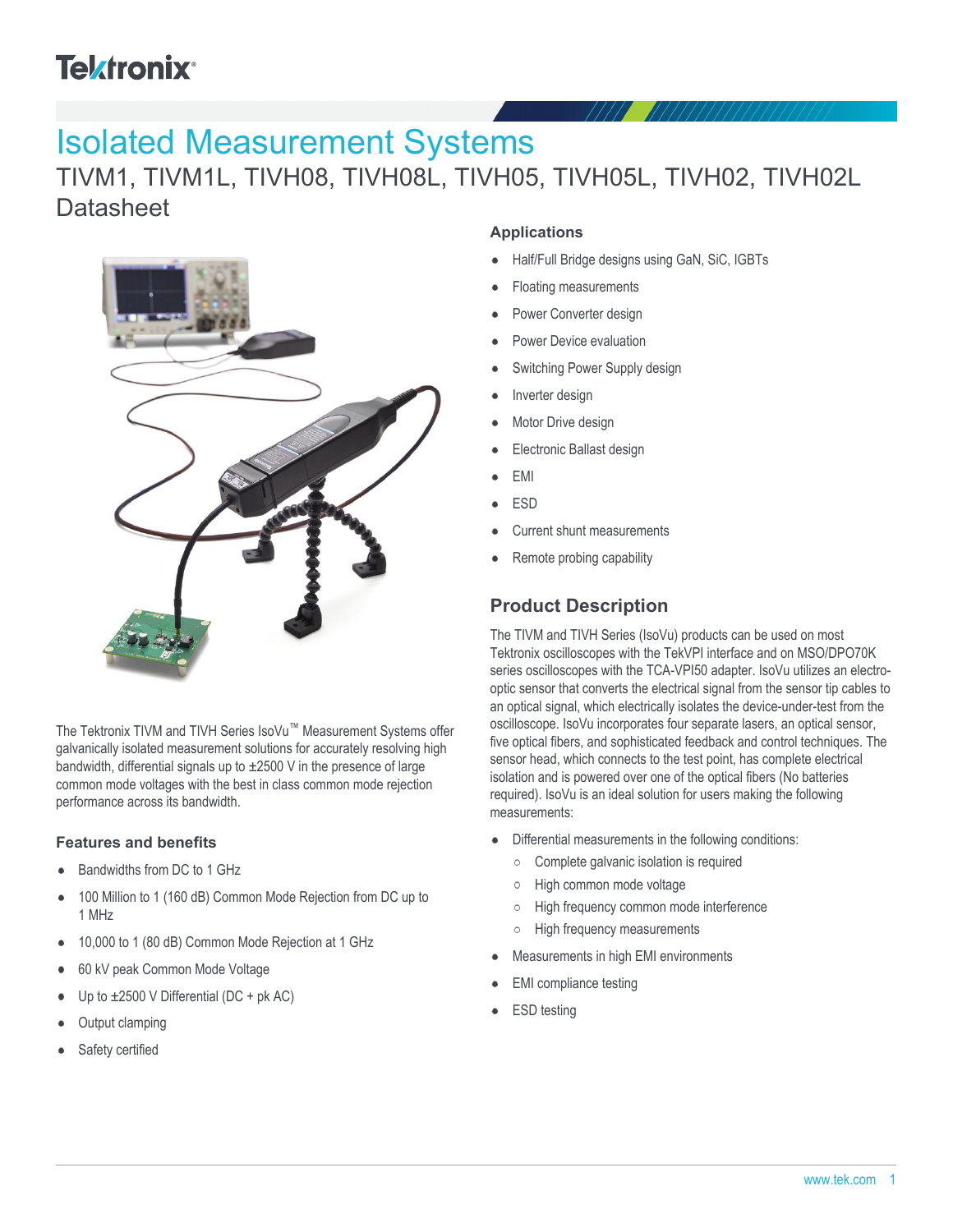# **Tektronix®**

# Isolated Measurement Systems

TIVM1, TIVM1L, TIVH08, TIVH08L, TIVH05, TIVH05L, TIVH02, TIVH02L **Datasheet** 



The Tektronix TIVM and TIVH Series IsoVu™ Measurement Systems offer galvanically isolated measurement solutions for accurately resolving high bandwidth, differential signals up to ±2500 V in the presence of large common mode voltages with the best in class common mode rejection performance across its bandwidth.

#### **Features and benefits**

- Bandwidths from DC to 1 GHz
- 100 Million to 1 (160 dB) Common Mode Rejection from DC up to  $\bullet$ 1 MHz
- 10,000 to 1 (80 dB) Common Mode Rejection at 1 GHz
- 60 kV peak Common Mode Voltage
- Up to  $\pm 2500$  V Differential (DC + pk AC)
- Output clamping
- Safety certified

#### **Applications**

- Half/Full Bridge designs using GaN, SiC, IGBTs
- Floating measurements
- Power Converter design
- Power Device evaluation
- Switching Power Supply design
- Inverter design
- Motor Drive design
- Electronic Ballast design
- EMI
- ESD
- Current shunt measurements
- Remote probing capability

## **Product Description**

The TIVM and TIVH Series (IsoVu) products can be used on most Tektronix oscilloscopes with the TekVPI interface and on MSO/DPO70K series oscilloscopes with the TCA-VPI50 adapter. IsoVu utilizes an electrooptic sensor that converts the electrical signal from the sensor tip cables to an optical signal, which electrically isolates the device-under-test from the oscilloscope. IsoVu incorporates four separate lasers, an optical sensor, five optical fibers, and sophisticated feedback and control techniques. The sensor head, which connects to the test point, has complete electrical isolation and is powered over one of the optical fibers (No batteries required). IsoVu is an ideal solution for users making the following measurements:

- Differential measurements in the following conditions:  $\bullet$ 
	- Complete galvanic isolation is required
	- High common mode voltage  $\circ$
	- $\circ$ High frequency common mode interference
	- High frequency measurements  $\circ$
- Measurements in high EMI environments
- EMI compliance testing
- ESD testing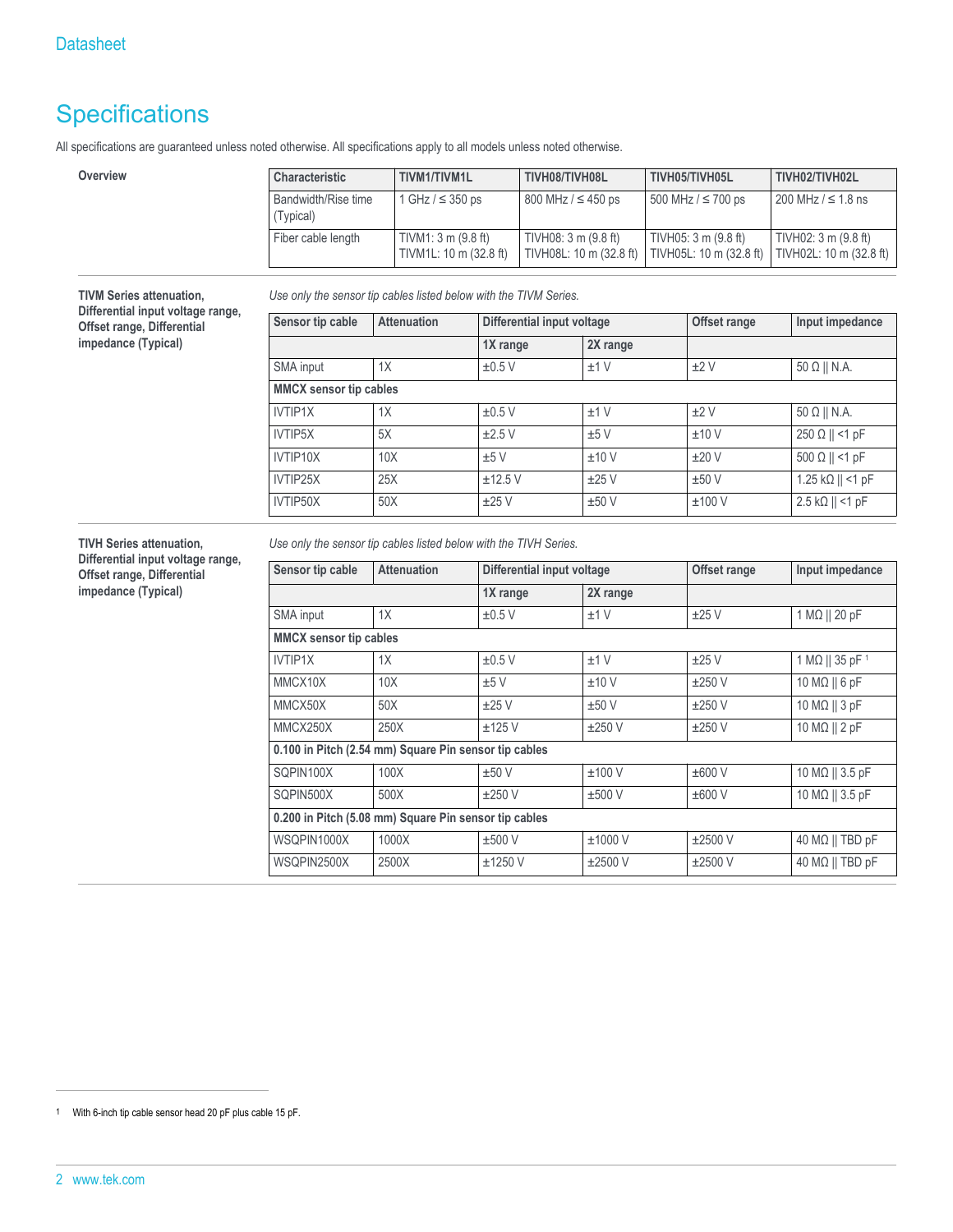## **Specifications**

**TIVM Series attenuation, Differential input voltage range, Offset range, Differential impedance (Typical)**

All specifications are guaranteed unless noted otherwise. All specifications apply to all models unless noted otherwise.

| Overview | Characteristic                   | TIVM1/TIVM1L                                            | TIVH08/TIVH08L                                  | TIVH05/TIVH05L                                  | TIVH02/TIVH02L                                  |
|----------|----------------------------------|---------------------------------------------------------|-------------------------------------------------|-------------------------------------------------|-------------------------------------------------|
|          | Bandwidth/Rise time<br>(Typical) | 1 GHz / ≤ 350 ps                                        | $800$ MHz $/ \leq 450$ ps                       | 500 MHz / ≤ 700 ps                              | $1200$ MHz $/$ ≤ 1.8 ns                         |
|          | Fiber cable length               | TIVM1: $3 \text{ m}$ (9.8 ft)<br>TIVM1L: 10 m (32.8 ft) | TIVH08: 3 m (9.8 ft)<br>TIVH08L: 10 m (32.8 ft) | TIVH05: 3 m (9.8 ft)<br>TIVH05L: 10 m (32.8 ft) | TIVH02: 3 m (9.8 ft)<br>TIVH02L: 10 m (32.8 ft) |

*Use only the sensor tip cables listed below with the TIVM Series.*

| Sensor tip cable              | <b>Attenuation</b> | Differential input voltage |          | Offset range | Input impedance                  |
|-------------------------------|--------------------|----------------------------|----------|--------------|----------------------------------|
|                               |                    | 1X range                   | 2X range |              |                                  |
| SMA input                     | 1X                 | ±0.5V                      | ±1V      | ±2V          | $50 \Omega$    N.A.              |
| <b>MMCX sensor tip cables</b> |                    |                            |          |              |                                  |
| IVTIP1X                       | 1X                 | ±0.5V                      | ±1V      | ±2V          | $50 \Omega \parallel N.A.$       |
| IVTIP5X                       | 5X                 | $\pm 2.5$ V                | ±5V      | ±10V         | $250 \Omega    125$              |
| IVTIP10X                      | 10X                | ±5V                        | ±10V     | ±20V         | $500 \Omega    120 F$            |
| IVTIP25X                      | 25X                | ±12.5V                     | ±25V     | ±50V         | 1.25 kΩ $  $ <1 pF               |
| IVTIP50X                      | 50X                | ±25V                       | ±50V     | ±100V        | $2.5 \; k\Omega \parallel$ <1 pF |

**TIVH Series attenuation, Differential input voltage range, Offset range, Differential impedance (Typical)**

*Use only the sensor tip cables listed below with the TIVH Series.*

| <b>Attenuation</b>                                    | Differential input voltage |             | Offset range | Input impedance                    |
|-------------------------------------------------------|----------------------------|-------------|--------------|------------------------------------|
|                                                       | 1X range                   | 2X range    |              |                                    |
| 1X                                                    | $\pm 0.5$ V                | ±1V         | ±25V         | $1 M\Omega    20 pF$               |
| <b>MMCX</b> sensor tip cables                         |                            |             |              |                                    |
| 1X                                                    | $\pm 0.5$ V                | ±1V         | ±25V         | 1 M $\Omega$    35 pF <sup>1</sup> |
| 10X                                                   | ±5V                        | ±10V        | $\pm 250$ V  | $10 M\Omega    6 pF$               |
| 50X                                                   | ±25V                       | ±50V        | ±250V        | 10 M $\Omega$    3 pF              |
| 250X                                                  | $±125$ V                   | $\pm 250$ V | ±250V        | 10 M $\Omega$    2 pF              |
| 0.100 in Pitch (2.54 mm) Square Pin sensor tip cables |                            |             |              |                                    |
| 100X                                                  | ±50V                       | $±100$ V    | ±600V        | 10 MΩ    3.5 pF                    |
| 500X                                                  | $\pm 250$ V                | $±500$ V    | ±600V        | $10 \text{ M}\Omega$    3.5 pF     |
| 0.200 in Pitch (5.08 mm) Square Pin sensor tip cables |                            |             |              |                                    |
| 1000X                                                 | $±500$ V                   | ±1000V      | $\pm 2500$ V | $40 M\Omega$    TBD pF             |
| 2500X                                                 | $±1250$ V                  | $±2500$ V   | $\pm 2500$ V | $40 M\Omega$    TBD pF             |
|                                                       |                            |             |              |                                    |

<sup>1</sup> With 6-inch tip cable sensor head 20 pF plus cable 15 pF.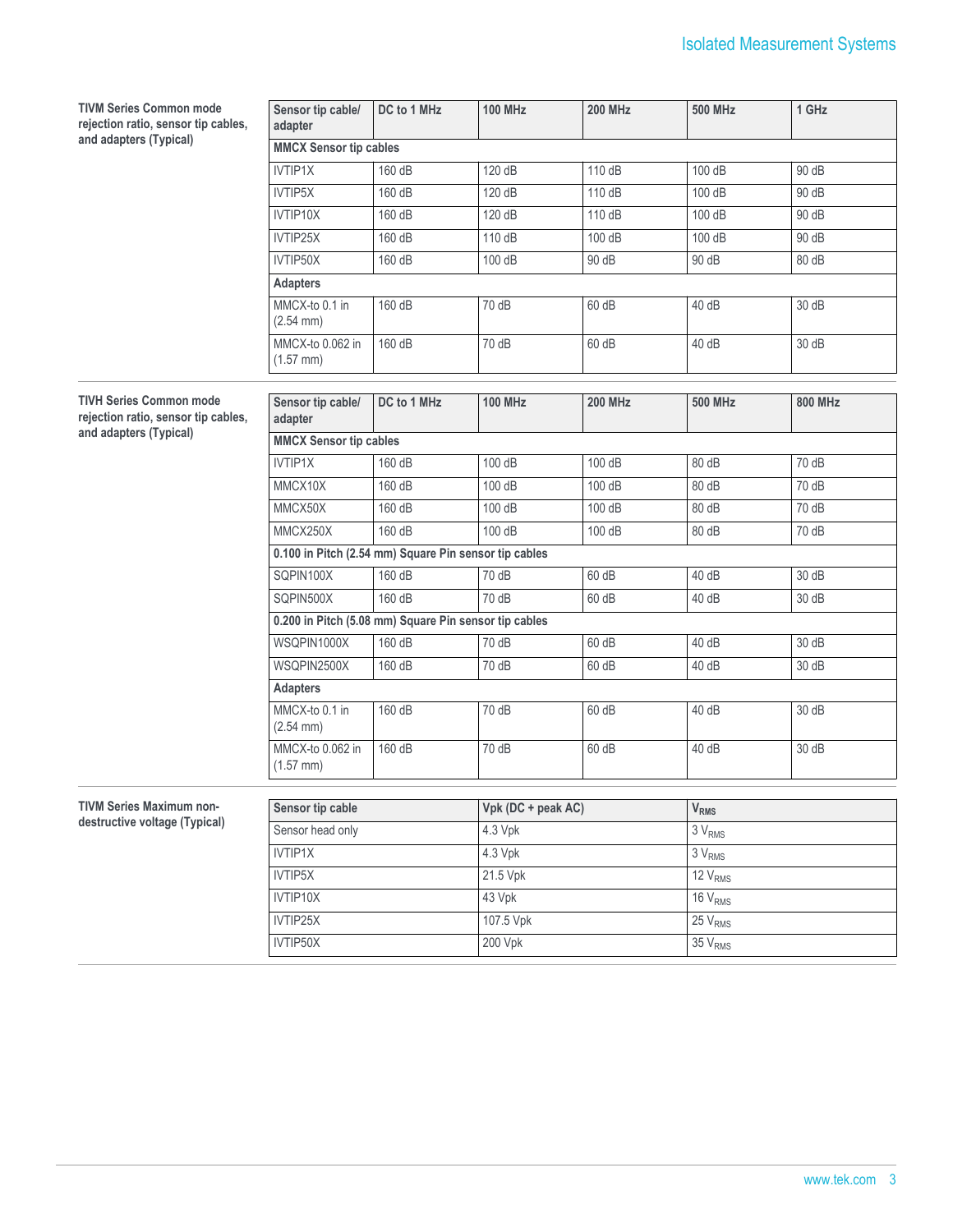| <b>TIVM Series Common mode</b><br>rejection ratio, sensor tip cables,<br>and adapters (Typical) | Sensor tip cable/<br>adapter                          | DC to 1 MHz | <b>100 MHz</b>     | <b>200 MHz</b> | <b>500 MHz</b>          | 1 GHz                     |  |
|-------------------------------------------------------------------------------------------------|-------------------------------------------------------|-------------|--------------------|----------------|-------------------------|---------------------------|--|
|                                                                                                 | <b>MMCX Sensor tip cables</b>                         |             |                    |                |                         |                           |  |
|                                                                                                 | <b>IVTIP1X</b>                                        | 160 dB      | 120 dB             | 110 dB         | 100 dB                  | 90 dB                     |  |
|                                                                                                 | IVTIP5X                                               | 160 dB      | 120 dB             | 110 dB         | 100 dB                  | 90 dB                     |  |
|                                                                                                 | IVTIP10X                                              | 160 dB      | 120 dB             | 110 dB         | 100 dB                  | 90 dB                     |  |
|                                                                                                 | IVTIP25X                                              | 160 dB      | 110 dB             | 100 dB         | 100 dB                  | 90 dB                     |  |
|                                                                                                 | IVTIP50X                                              | 160 dB      | 100 dB             | 90 dB          | 90 dB                   | 80dB                      |  |
|                                                                                                 | <b>Adapters</b>                                       |             |                    |                |                         |                           |  |
|                                                                                                 | MMCX-to 0.1 in<br>$(2.54 \, \text{mm})$               | 160 dB      | 70 dB              | 60 dB          | 40 dB                   | 30dB                      |  |
|                                                                                                 | MMCX-to 0.062 in<br>$(1.57$ mm)                       | 160 dB      | 70 dB              | 60 dB          | 40 dB                   | 30dB                      |  |
| <b>TIVH Series Common mode</b>                                                                  |                                                       |             |                    |                |                         |                           |  |
| rejection ratio, sensor tip cables,<br>and adapters (Typical)                                   | Sensor tip cable/<br>adapter                          | DC to 1 MHz | <b>100 MHz</b>     | <b>200 MHz</b> | <b>500 MHz</b>          | <b>800 MHz</b>            |  |
|                                                                                                 | <b>MMCX Sensor tip cables</b>                         |             |                    |                |                         |                           |  |
|                                                                                                 | <b>IVTIP1X</b>                                        | 160 dB      | 100 dB             | 100 dB         | 80 dB                   | 70 dB                     |  |
|                                                                                                 | MMCX10X                                               | 160 dB      | 100 dB             | 100 dB         | 80 dB                   | 70 dB                     |  |
|                                                                                                 | MMCX50X                                               | 160 dB      | 100 dB             | 100 dB         | 80 dB                   | 70 dB                     |  |
|                                                                                                 | MMCX250X                                              | 160 dB      | 100 dB             | 100 dB         | 80 dB                   | 70 dB                     |  |
|                                                                                                 | 0.100 in Pitch (2.54 mm) Square Pin sensor tip cables |             |                    |                |                         |                           |  |
|                                                                                                 | SQPIN100X                                             | 160 dB      | 70 dB              | 60 dB          | 40 dB                   | 30dB                      |  |
|                                                                                                 | SQPIN500X                                             | 160 dB      | 70 dB              | 60 dB          | 40 dB                   | 30dB                      |  |
|                                                                                                 | 0.200 in Pitch (5.08 mm) Square Pin sensor tip cables |             |                    |                |                         |                           |  |
|                                                                                                 | WSQPIN1000X                                           | 160 dB      | 70 dB              | 60 dB          | 40 dB                   | 30dB                      |  |
|                                                                                                 | WSQPIN2500X                                           | 160 dB      | 70 dB              | 60 dB          | 40 dB                   | 30dB                      |  |
|                                                                                                 | <b>Adapters</b>                                       |             |                    |                |                         |                           |  |
|                                                                                                 | MMCX-to 0.1 in<br>$(2.54 \, \text{mm})$               | 160 dB      | 70 dB              | 60 dB          | 40 dB                   | 30dB                      |  |
|                                                                                                 | MMCX-to 0.062 in<br>$(1.57$ mm $)$                    | 160 dB      | 70 dB              | 60 dB          | 40 dB                   | 30dB                      |  |
| TIVM Series Maximum non-                                                                        | Sensor tip cable                                      |             | Vpk (DC + peak AC) |                | <b>V</b> <sub>RMS</sub> |                           |  |
| destructive voltage (Typical)                                                                   | Sensor head only                                      |             | 4.3 Vpk            |                |                         | 3V <sub>RMS</sub>         |  |
|                                                                                                 | <b>IVTIP1X</b>                                        |             | 4.3 Vpk            |                | 3V <sub>RMS</sub>       |                           |  |
|                                                                                                 | IVTIP5X                                               |             | 21.5 Vpk           |                | 12 V <sub>RMS</sub>     |                           |  |
|                                                                                                 | IVTIP10X                                              |             | 43 Vpk             |                |                         | $\overline{16}$ $V_{RMS}$ |  |
|                                                                                                 | IVTIP25X                                              |             | 107.5 Vpk          |                |                         | 25 V <sub>RMS</sub>       |  |
|                                                                                                 | IVTIP50X                                              |             | 200 Vpk            |                |                         | $35 V_{RMS}$              |  |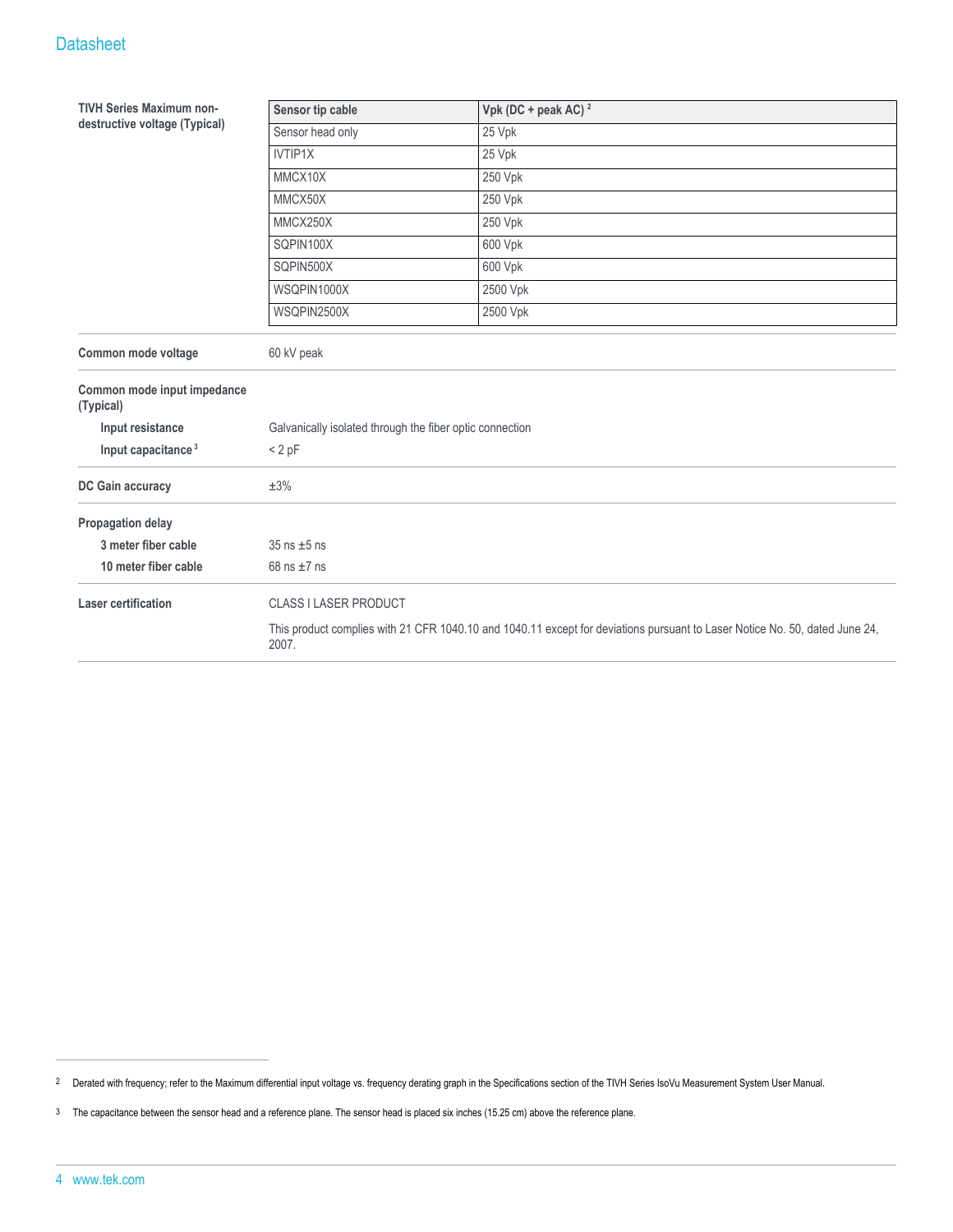### **Datasheet**

| <b>TIVH Series Maximum non-</b>          | Sensor tip cable<br>Vpk (DC + peak AC) $^2$              |                                                                                                                             |  |
|------------------------------------------|----------------------------------------------------------|-----------------------------------------------------------------------------------------------------------------------------|--|
| destructive voltage (Typical)            | Sensor head only                                         | 25 Vpk                                                                                                                      |  |
|                                          | IVTIP1X                                                  | 25 Vpk                                                                                                                      |  |
|                                          | MMCX10X<br>250 Vpk                                       |                                                                                                                             |  |
|                                          | MMCX50X                                                  | 250 Vpk                                                                                                                     |  |
|                                          | MMCX250X                                                 | 250 Vpk                                                                                                                     |  |
|                                          | SQPIN100X                                                | 600 Vpk                                                                                                                     |  |
|                                          | SQPIN500X                                                | 600 Vpk                                                                                                                     |  |
|                                          | WSQPIN1000X                                              | 2500 Vpk                                                                                                                    |  |
|                                          | WSQPIN2500X                                              | 2500 Vpk                                                                                                                    |  |
| Common mode voltage                      | 60 kV peak                                               |                                                                                                                             |  |
| Common mode input impedance<br>(Typical) |                                                          |                                                                                                                             |  |
| Input resistance                         | Galvanically isolated through the fiber optic connection |                                                                                                                             |  |
| Input capacitance <sup>3</sup>           | < 2 pF                                                   |                                                                                                                             |  |
| DC Gain accuracy                         | $\pm 3\%$                                                |                                                                                                                             |  |
| Propagation delay                        |                                                          |                                                                                                                             |  |
| 3 meter fiber cable                      | $35$ ns $\pm 5$ ns                                       |                                                                                                                             |  |
| 10 meter fiber cable                     | 68 ns $\pm$ 7 ns                                         |                                                                                                                             |  |
| <b>Laser certification</b>               | <b>CLASS I LASER PRODUCT</b>                             |                                                                                                                             |  |
|                                          | 2007.                                                    | This product complies with 21 CFR 1040.10 and 1040.11 except for deviations pursuant to Laser Notice No. 50, dated June 24, |  |

<sup>2</sup> Derated with frequency; refer to the Maximum differential input voltage vs. frequency derating graph in the Specifications section of the TIVH Series IsoVu Measurement System User Manual.

<sup>3</sup> The capacitance between the sensor head and a reference plane. The sensor head is placed six inches (15.25 cm) above the reference plane.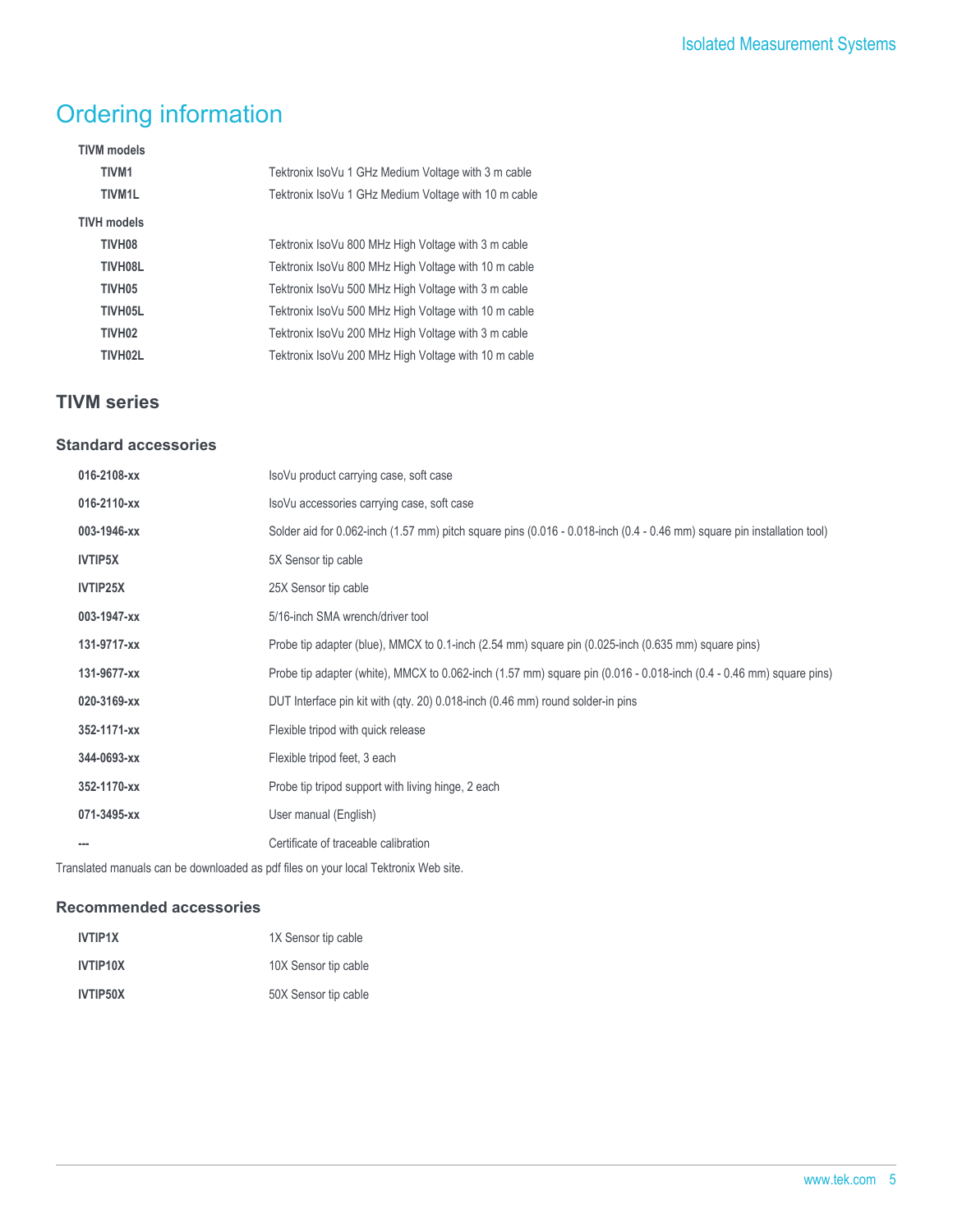## Ordering information

| <b>TIVM</b> models |                                                      |
|--------------------|------------------------------------------------------|
| <b>TIVM1</b>       | Tektronix IsoVu 1 GHz Medium Voltage with 3 m cable  |
| <b>TIVM1L</b>      | Tektronix IsoVu 1 GHz Medium Voltage with 10 m cable |
| <b>TIVH models</b> |                                                      |
| TIVH08             | Tektronix IsoVu 800 MHz High Voltage with 3 m cable  |
| TIVH08L            | Tektronix IsoVu 800 MHz High Voltage with 10 m cable |
| TIVH <sub>05</sub> | Tektronix IsoVu 500 MHz High Voltage with 3 m cable  |
| TIVH05L            | Tektronix IsoVu 500 MHz High Voltage with 10 m cable |
| TIVH <sub>02</sub> | Tektronix IsoVu 200 MHz High Voltage with 3 m cable  |
| TIVH02L            | Tektronix IsoVu 200 MHz High Voltage with 10 m cable |
|                    |                                                      |

## **TIVM series**

#### **Standard accessories**

| 016-2108-xx    | IsoVu product carrying case, soft case                                                                                  |
|----------------|-------------------------------------------------------------------------------------------------------------------------|
| 016-2110-xx    | IsoVu accessories carrying case, soft case                                                                              |
| 003-1946-xx    | Solder aid for 0.062-inch (1.57 mm) pitch square pins (0.016 - 0.018-inch (0.4 - 0.46 mm) square pin installation tool) |
| <b>IVTIP5X</b> | 5X Sensor tip cable                                                                                                     |
| IVTIP25X       | 25X Sensor tip cable                                                                                                    |
| 003-1947-xx    | 5/16-inch SMA wrench/driver tool                                                                                        |
| 131-9717-xx    | Probe tip adapter (blue), MMCX to 0.1-inch (2.54 mm) square pin (0.025-inch (0.635 mm) square pins)                     |
| 131-9677-xx    | Probe tip adapter (white), MMCX to 0.062-inch (1.57 mm) square pin (0.016 - 0.018-inch (0.4 - 0.46 mm) square pins)     |
| 020-3169-xx    | DUT Interface pin kit with (qty. 20) 0.018-inch (0.46 mm) round solder-in pins                                          |
| 352-1171-xx    | Flexible tripod with quick release                                                                                      |
| 344-0693-xx    | Flexible tripod feet, 3 each                                                                                            |
| 352-1170-xx    | Probe tip tripod support with living hinge, 2 each                                                                      |
| 071-3495-xx    | User manual (English)                                                                                                   |
|                | Certificate of traceable calibration                                                                                    |

Translated manuals can be downloaded as pdf files on your local Tektronix Web site.

### **Recommended accessories**

| <b>IVTIP1X</b> | 1X Sensor tip cable  |
|----------------|----------------------|
| IVTIP10X       | 10X Sensor tip cable |
| IVTIP50X       | 50X Sensor tip cable |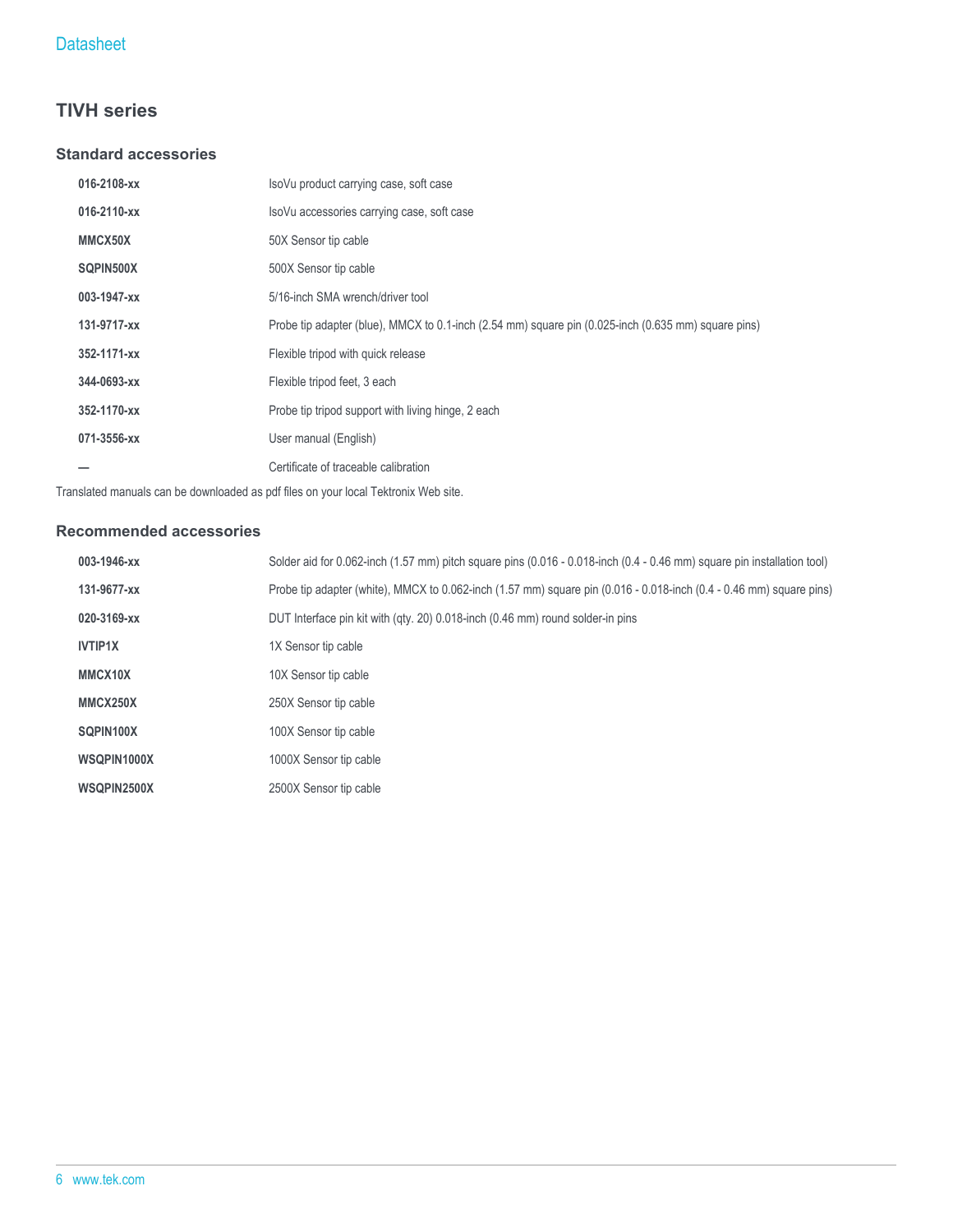## **TIVH series**

#### **Standard accessories**

| IsoVu product carrying case, soft case                                                              |
|-----------------------------------------------------------------------------------------------------|
| IsoVu accessories carrying case, soft case                                                          |
| 50X Sensor tip cable                                                                                |
| 500X Sensor tip cable                                                                               |
| 5/16-inch SMA wrench/driver tool                                                                    |
| Probe tip adapter (blue), MMCX to 0.1-inch (2.54 mm) square pin (0.025-inch (0.635 mm) square pins) |
| Flexible tripod with quick release                                                                  |
| Flexible tripod feet, 3 each                                                                        |
| Probe tip tripod support with living hinge, 2 each                                                  |
| User manual (English)                                                                               |
| Certificate of traceable calibration                                                                |
|                                                                                                     |

Translated manuals can be downloaded as pdf files on your local Tektronix Web site.

### **Recommended accessories**

| 003-1946-xx    | Solder aid for 0.062-inch (1.57 mm) pitch square pins (0.016 - 0.018-inch (0.4 - 0.46 mm) square pin installation tool) |
|----------------|-------------------------------------------------------------------------------------------------------------------------|
| 131-9677-xx    | Probe tip adapter (white), MMCX to 0.062-inch (1.57 mm) square pin (0.016 - 0.018-inch (0.4 - 0.46 mm) square pins)     |
| 020-3169-xx    | DUT Interface pin kit with (gty. 20) 0.018-inch (0.46 mm) round solder-in pins                                          |
| <b>IVTIP1X</b> | 1X Sensor tip cable                                                                                                     |
| MMCX10X        | 10X Sensor tip cable                                                                                                    |
| MMCX250X       | 250X Sensor tip cable                                                                                                   |
| SQPIN100X      | 100X Sensor tip cable                                                                                                   |
| WSQPIN1000X    | 1000X Sensor tip cable                                                                                                  |
| WSQPIN2500X    | 2500X Sensor tip cable                                                                                                  |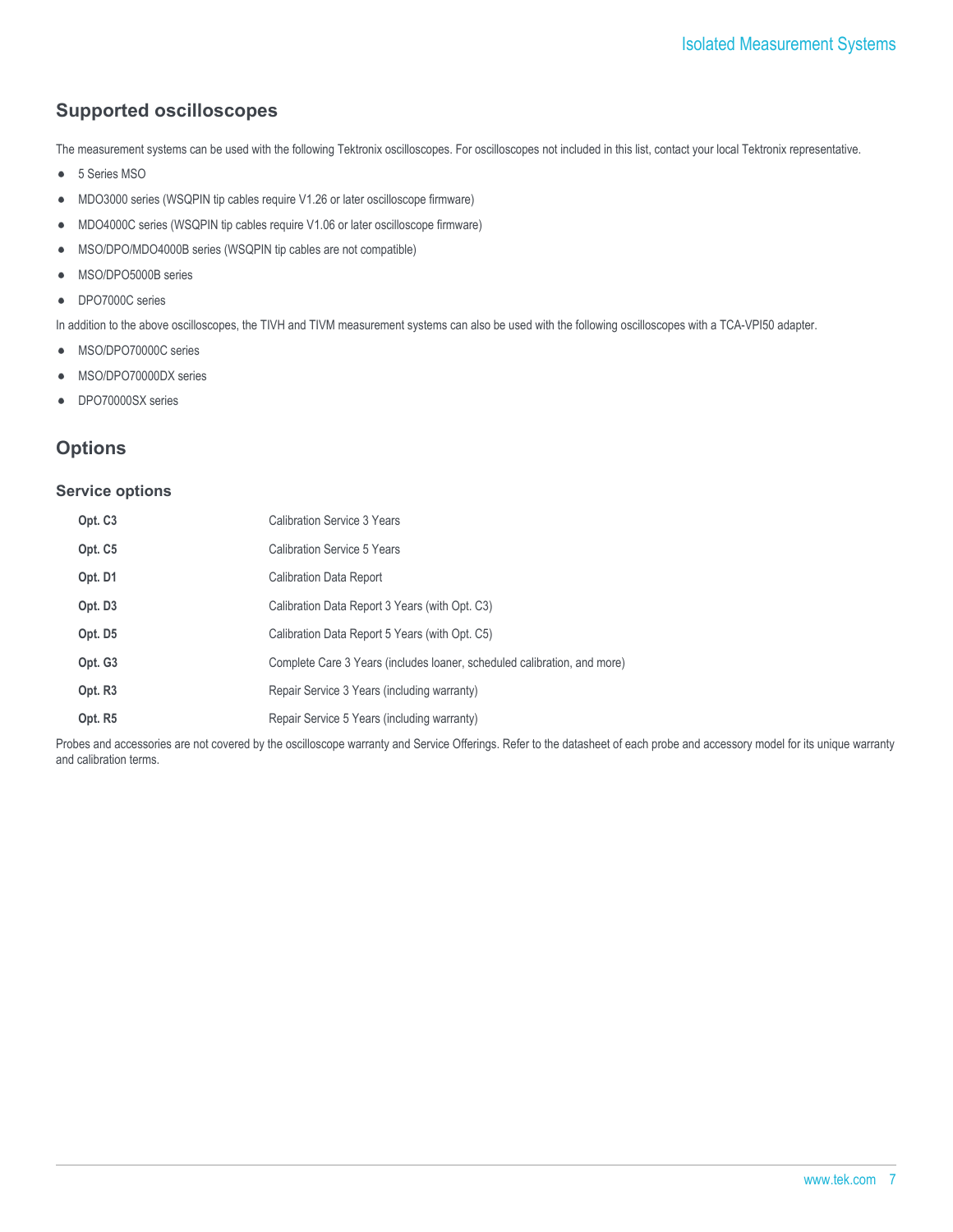## **Supported oscilloscopes**

The measurement systems can be used with the following Tektronix oscilloscopes. For oscilloscopes not included in this list, contact your local Tektronix representative.

- 5 Series MSO  $\bullet$
- MDO3000 series (WSQPIN tip cables require V1.26 or later oscilloscope firmware)  $\bullet$
- MDO4000C series (WSQPIN tip cables require V1.06 or later oscilloscope firmware)  $\bullet$
- MSO/DPO/MDO4000B series (WSQPIN tip cables are not compatible)  $\bullet$
- MSO/DPO5000B series
- DPO7000C series  $\bullet$

In addition to the above oscilloscopes, the TIVH and TIVM measurement systems can also be used with the following oscilloscopes with a TCA-VPI50 adapter.

- MSO/DPO70000C series  $\bullet$
- MSO/DPO70000DX series
- DPO70000SX series  $\bullet$

## **Options**

#### **Service options**

| Opt. C <sub>3</sub> | <b>Calibration Service 3 Years</b>                                       |
|---------------------|--------------------------------------------------------------------------|
| Opt. C5             | Calibration Service 5 Years                                              |
| Opt. D1             | <b>Calibration Data Report</b>                                           |
| Opt. D <sub>3</sub> | Calibration Data Report 3 Years (with Opt. C3)                           |
| Opt. D5             | Calibration Data Report 5 Years (with Opt. C5)                           |
| Opt. G3             | Complete Care 3 Years (includes loaner, scheduled calibration, and more) |
| Opt. R <sub>3</sub> | Repair Service 3 Years (including warranty)                              |
| Opt. R5             | Repair Service 5 Years (including warranty)                              |

Probes and accessories are not covered by the oscilloscope warranty and Service Offerings. Refer to the datasheet of each probe and accessory model for its unique warranty and calibration terms.